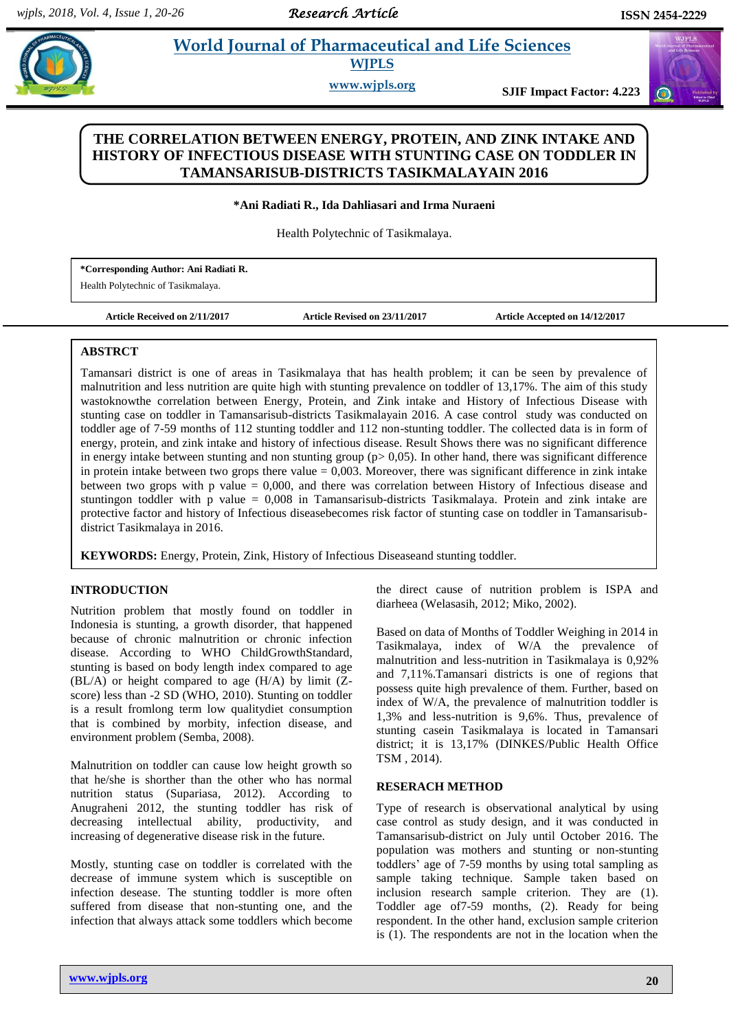$\left($ 

# **Anim 2. Pharmaceutical and Life Sciences WJPLS**

**www.wjpls.org SJIF Impact Factor: 4.223**

## **THE CORRELATION BETWEEN ENERGY, PROTEIN, AND ZINK INTAKE AND HISTORY OF INFECTIOUS DISEASE WITH STUNTING CASE ON TODDLER IN TAMANSARISUB-DISTRICTS TASIKMALAYAIN 2016**

#### **\*Ani Radiati R., Ida Dahliasari and Irma Nuraeni**

Health Polytechnic of Tasikmalaya.

**\*Corresponding Author: Ani Radiati R.**

Health Polytechnic of Tasikmalaya.

**Article Received on 2/11/2017 Article Revised on 23/11/2017 Article Accepted on 14/12/2017**

#### **ABSTRCT**

Tamansari district is one of areas in Tasikmalaya that has health problem; it can be seen by prevalence of malnutrition and less nutrition are quite high with stunting prevalence on toddler of 13,17%. The aim of this study wastoknowthe correlation between Energy, Protein, and Zink intake and History of Infectious Disease with stunting case on toddler in Tamansarisub-districts Tasikmalayain 2016. A case control study was conducted on toddler age of 7-59 months of 112 stunting toddler and 112 non-stunting toddler. The collected data is in form of energy, protein, and zink intake and history of infectious disease. Result Shows there was no significant difference in energy intake between stunting and non stunting group  $(p>0.05)$ . In other hand, there was significant difference in protein intake between two grops there value  $= 0.003$ . Moreover, there was significant difference in zink intake between two grops with p value = 0,000, and there was correlation between History of Infectious disease and stuntingon toddler with p value = 0,008 in Tamansarisub-districts Tasikmalaya. Protein and zink intake are protective factor and history of Infectious diseasebecomes risk factor of stunting case on toddler in Tamansarisubdistrict Tasikmalaya in 2016.

**KEYWORDS:** Energy, Protein, Zink, History of Infectious Diseaseand stunting toddler*.* 

## **INTRODUCTION**

Nutrition problem that mostly found on toddler in Indonesia is stunting, a growth disorder, that happened because of chronic malnutrition or chronic infection disease. According to WHO ChildGrowthStandard, stunting is based on body length index compared to age (BL/A) or height compared to age (H/A) by limit (Zscore) less than -2 SD (WHO, 2010). Stunting on toddler is a result fromlong term low qualitydiet consumption that is combined by morbity, infection disease, and environment problem (Semba, 2008).

Malnutrition on toddler can cause low height growth so that he/she is shorther than the other who has normal nutrition status (Supariasa, 2012). According to Anugraheni 2012, the stunting toddler has risk of decreasing intellectual ability, productivity, and increasing of degenerative disease risk in the future.

Mostly, stunting case on toddler is correlated with the decrease of immune system which is susceptible on infection desease. The stunting toddler is more often suffered from disease that non-stunting one, and the infection that always attack some toddlers which become the direct cause of nutrition problem is ISPA and diarheea (Welasasih, 2012; Miko, 2002).

Based on data of Months of Toddler Weighing in 2014 in Tasikmalaya, index of W/A the prevalence of malnutrition and less-nutrition in Tasikmalaya is 0,92% and 7,11%.Tamansari districts is one of regions that possess quite high prevalence of them. Further, based on index of W/A, the prevalence of malnutrition toddler is 1,3% and less-nutrition is 9,6%. Thus, prevalence of stunting casein Tasikmalaya is located in Tamansari district; it is 13,17% (DINKES/Public Health Office TSM , 2014).

#### **RESERACH METHOD**

Type of research is observational analytical by using case control as study design, and it was conducted in Tamansarisub-district on July until October 2016. The population was mothers and stunting or non-stunting toddlers' age of 7-59 months by using total sampling as sample taking technique. Sample taken based on inclusion research sample criterion. They are (1). Toddler age of7-59 months, (2). Ready for being respondent. In the other hand, exclusion sample criterion is (1). The respondents are not in the location when the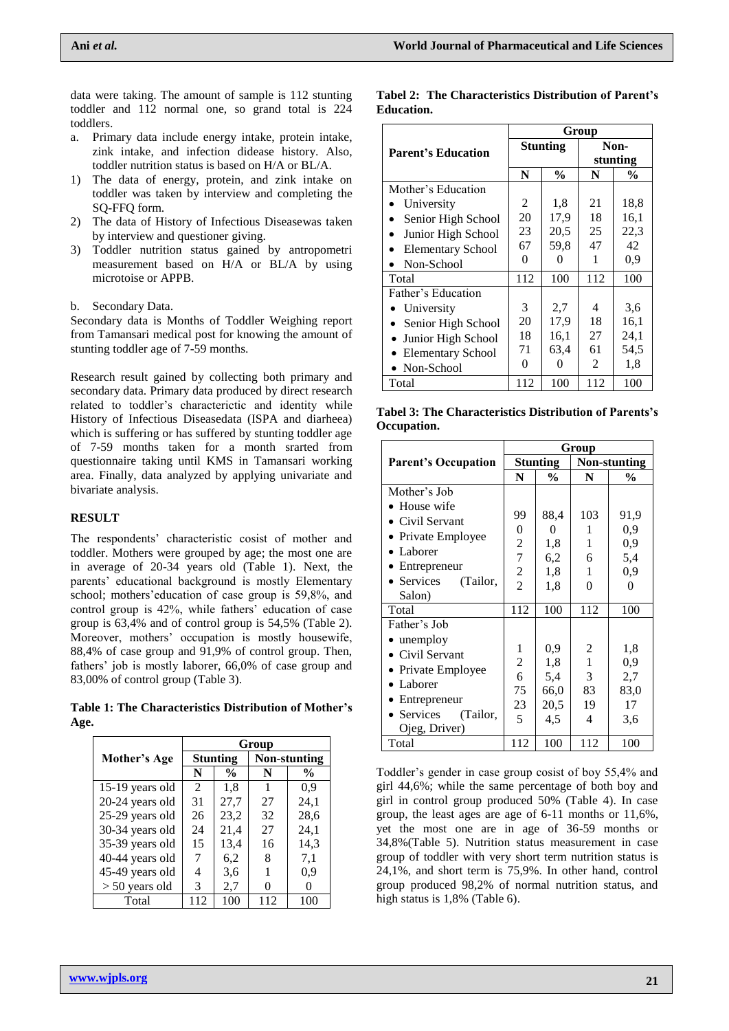data were taking. The amount of sample is 112 stunting toddler and 112 normal one, so grand total is 224 toddlers.

- a. Primary data include energy intake, protein intake, zink intake, and infection didease history. Also, toddler nutrition status is based on H/A or BL/A.
- 1) The data of energy, protein, and zink intake on toddler was taken by interview and completing the SQ-FFQ form.
- 2) The data of History of Infectious Diseasewas taken by interview and questioner giving.
- 3) Toddler nutrition status gained by antropometri measurement based on H/A or BL/A by using microtoise or APPB.

b. Secondary Data.

Secondary data is Months of Toddler Weighing report from Tamansari medical post for knowing the amount of stunting toddler age of 7-59 months.

Research result gained by collecting both primary and secondary data. Primary data produced by direct research related to toddler's characterictic and identity while History of Infectious Diseasedata (ISPA and diarheea) which is suffering or has suffered by stunting toddler age of 7-59 months taken for a month srarted from questionnaire taking until KMS in Tamansari working area. Finally, data analyzed by applying univariate and bivariate analysis.

#### **RESULT**

The respondents' characteristic cosist of mother and toddler. Mothers were grouped by age; the most one are in average of 20-34 years old (Table 1). Next, the parents' educational background is mostly Elementary school; mothers'education of case group is 59,8%, and control group is 42%, while fathers' education of case group is 63,4% and of control group is 54,5% (Table 2). Moreover, mothers' occupation is mostly housewife, 88,4% of case group and 91,9% of control group. Then, fathers' job is mostly laborer, 66,0% of case group and 83,00% of control group (Table 3).

**Table 1: The Characteristics Distribution of Mother's Age.**

|                  | Group         |                 |          |                     |  |  |
|------------------|---------------|-----------------|----------|---------------------|--|--|
| Mother's Age     |               | <b>Stunting</b> |          | <b>Non-stunting</b> |  |  |
|                  | N             | $\frac{0}{0}$   | N        | $\frac{6}{9}$       |  |  |
| 15-19 years old  | $\mathcal{L}$ | 1,8             | 1        | 0.9                 |  |  |
| 20-24 years old  | 31            | 27,7            | 27       | 24,1                |  |  |
| 25-29 years old  | 26            | 23,2            | 32       | 28,6                |  |  |
| 30-34 years old  | 24            | 21,4            | 27       | 24,1                |  |  |
| 35-39 years old  | 15            | 13,4            | 16       | 14,3                |  |  |
| 40-44 years old  | 7             | 6,2             | 8        | 7,1                 |  |  |
| 45-49 years old  | 4             | 3,6             |          | 0.9                 |  |  |
| $> 50$ years old | 3             | 2,7             | $\theta$ | $\mathbf{\Omega}$   |  |  |
| Total            | 112           | 100             | 112      | 100                 |  |  |

#### **Tabel 2: The Characteristics Distribution of Parent's Education.**

|                           | Group    |               |                  |               |  |  |
|---------------------------|----------|---------------|------------------|---------------|--|--|
| <b>Parent's Education</b> |          | Stunting      | Non-<br>stunting |               |  |  |
|                           | N        | $\frac{0}{0}$ | N                | $\frac{6}{9}$ |  |  |
| Mother's Education        |          |               |                  |               |  |  |
| University                | 2        | 1,8           | 21               | 18,8          |  |  |
| Senior High School        | 20       | 17,9          | 18               | 16,1          |  |  |
| Junior High School        | 23       | 20,5          | 25               | 22,3          |  |  |
| <b>Elementary School</b>  | 67       | 59,8          | 47               | 42            |  |  |
| Non-School                | 0        | 0             | 1                | 0,9           |  |  |
| Total                     | 112      | 100           | 112              | 100           |  |  |
| Father's Education        |          |               |                  |               |  |  |
| University                | 3        | 2,7           | 4                | 3.6           |  |  |
| Senior High School        | 20       | 17,9          | 18               | 16,1          |  |  |
| Junior High School        | 18       | 16,1          | 27               | 24,1          |  |  |
| <b>Elementary School</b>  | 71       | 63,4          | 61               | 54,5          |  |  |
| Non-School                | $\Omega$ | 0             | 2                | 1.8           |  |  |
| Total                     | 112      | 100           | 112              | 100           |  |  |

**Tabel 3: The Characteristics Distribution of Parents's Occupation.**

|                                                                                                                                                       | Group                                                        |                                          |                              |                                            |  |
|-------------------------------------------------------------------------------------------------------------------------------------------------------|--------------------------------------------------------------|------------------------------------------|------------------------------|--------------------------------------------|--|
| <b>Parent's Occupation</b>                                                                                                                            |                                                              | <b>Stunting</b>                          |                              | <b>Non-stunting</b>                        |  |
|                                                                                                                                                       | N                                                            | $\%$                                     | N                            | $\frac{0}{0}$                              |  |
| Mother's Job<br>• House wife<br>• Civil Servant<br>• Private Employee<br>• Laborer<br>$\bullet$ Entrepreneur<br>• Services<br>(Tailor,                | 99<br>$\overline{0}$<br>2<br>$\overline{7}$<br>$\frac{2}{2}$ | 88,4<br>0<br>1,8<br>6,2<br>1,8<br>1,8    | 103<br>1<br>1<br>6<br>1<br>0 | 91,9<br>0,9<br>0,9<br>5,4<br>0,9<br>$_{0}$ |  |
| Salon)<br>Total                                                                                                                                       | 112                                                          | 100                                      | 112                          | 100                                        |  |
| Father's Job<br>• unemploy<br>• Civil Servant<br>• Private Employee<br>$\bullet$ Laborer<br>• Entrepreneur<br>• Services<br>(Tailor,<br>Ojeg, Driver) | 1<br>$\overline{c}$<br>6<br>75<br>23<br>5                    | 0,9<br>1,8<br>5,4<br>66,0<br>20,5<br>4,5 | 2<br>1<br>3<br>83<br>19<br>4 | 1,8<br>0,9<br>2,7<br>83,0<br>17<br>3,6     |  |
| Total                                                                                                                                                 | 112                                                          | 100                                      | 112                          | 100                                        |  |

Toddler's gender in case group cosist of boy 55,4% and girl 44,6%; while the same percentage of both boy and girl in control group produced 50% (Table 4). In case group, the least ages are age of 6-11 months or 11,6%, yet the most one are in age of 36-59 months or 34,8%(Table 5). Nutrition status measurement in case group of toddler with very short term nutrition status is 24,1%, and short term is 75,9%. In other hand, control group produced 98,2% of normal nutrition status, and high status is 1,8% (Table 6).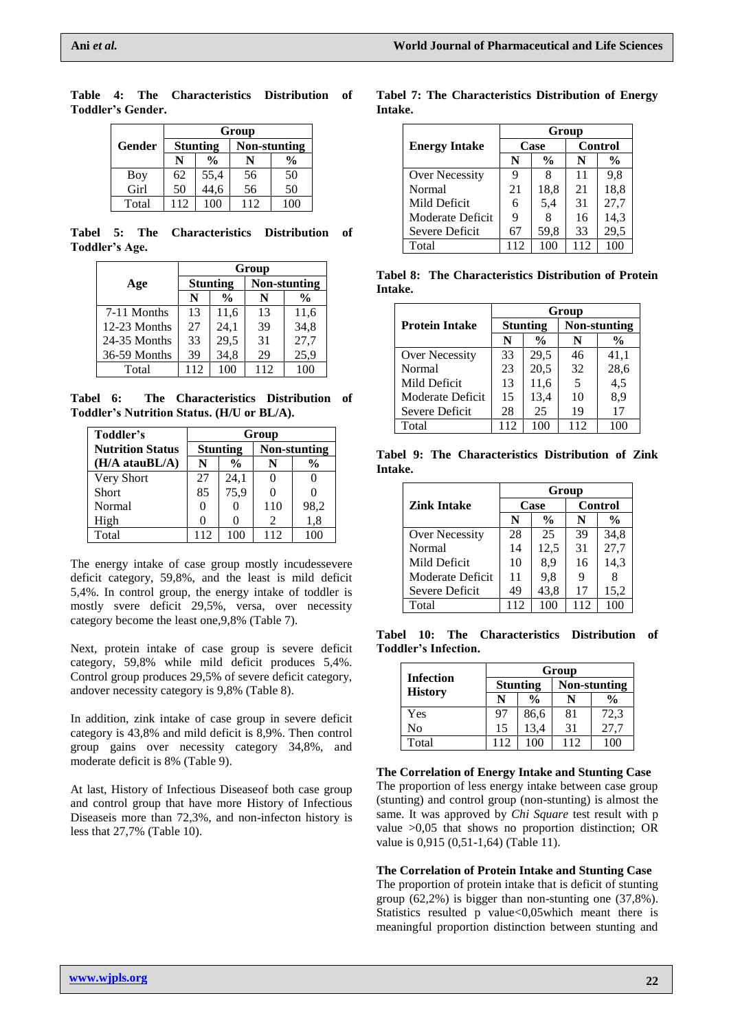|            | Group |                 |              |               |  |  |  |
|------------|-------|-----------------|--------------|---------------|--|--|--|
| Gender     |       | <b>Stunting</b> | Non-stunting |               |  |  |  |
|            |       | $\frac{0}{0}$   |              | $\frac{0}{0}$ |  |  |  |
| <b>Boy</b> | 62    | 55,4<br>44,6    | 56           | 50            |  |  |  |
| Girl       | 50    |                 | 56           | 50            |  |  |  |
| Total      | 112   | 100             | 112          | 100           |  |  |  |

**Table 4: The Characteristics Distribution of Toddler's Gender.**

**Tabel 5: The Characteristics Distribution of Toddler's Age.**

|              |                 |               | Group |              |
|--------------|-----------------|---------------|-------|--------------|
| Age          | <b>Stunting</b> |               |       | Non-stunting |
|              | N               | $\frac{0}{0}$ | N     | %            |
| 7-11 Months  | 13              | 11,6          | 13    | 11,6         |
| 12-23 Months | 27              | 24,1          | 39    | 34,8         |
| 24-35 Months | 33              | 29,5          | 31    | 27,7         |
| 36-59 Months | 39              | 34,8          | 29    | 25,9         |
| Total        | 112             | 100           | 112   |              |

**Tabel 6: The Characteristics Distribution of Toddler's Nutrition Status. (H/U or BL/A).**

| Toddler's                | Group |                 |     |                     |  |
|--------------------------|-------|-----------------|-----|---------------------|--|
| <b>Nutrition Status</b>  |       | <b>Stunting</b> |     | <b>Non-stunting</b> |  |
| $(H/A \text{ atauBL/A})$ | N     | %               | N   | %                   |  |
| Very Short               | 27    | 24,1            |     |                     |  |
| <b>Short</b>             | 85    | 75,9            |     | $\mathbf{0}$        |  |
| Normal                   | 0     |                 | 110 | 98,2                |  |
| High                     |       |                 | 2   | 1,8                 |  |
| Total                    | 112   | 100             | 112 |                     |  |

The energy intake of case group mostly incudessevere deficit category, 59,8%, and the least is mild deficit 5,4%. In control group, the energy intake of toddler is mostly svere deficit 29,5%, versa, over necessity category become the least one,9,8% (Table 7).

Next, protein intake of case group is severe deficit category, 59,8% while mild deficit produces 5,4%. Control group produces 29,5% of severe deficit category, andover necessity category is 9,8% (Table 8).

In addition, zink intake of case group in severe deficit category is 43,8% and mild deficit is 8,9%. Then control group gains over necessity category 34,8%, and moderate deficit is 8% (Table 9).

At last, History of Infectious Diseaseof both case group and control group that have more History of Infectious Diseaseis more than 72,3%, and non-infecton history is less that 27,7% (Table 10).

**Tabel 7: The Characteristics Distribution of Energy Intake.**

|                      | Group |               |     |               |  |  |
|----------------------|-------|---------------|-----|---------------|--|--|
| <b>Energy Intake</b> |       | Case          |     | Control       |  |  |
|                      | N     | $\frac{0}{0}$ | N   | $\frac{0}{0}$ |  |  |
| Over Necessity       |       | 8             | 11  | 9.8           |  |  |
| Normal               | 21    | 18,8          | 21  | 18,8          |  |  |
| Mild Deficit         | 6     | 5,4           | 31  | 27,7          |  |  |
| Moderate Deficit     | 9     | 8             | 16  | 14,3          |  |  |
| Severe Deficit       | 67    | 59,8          | 33  | 29,5          |  |  |
| Total                | 112   | 100           | 112 |               |  |  |

**Tabel 8: The Characteristics Distribution of Protein Intake.**

|                       | Group           |               |     |                     |  |  |
|-----------------------|-----------------|---------------|-----|---------------------|--|--|
| <b>Protein Intake</b> | <b>Stunting</b> |               |     | <b>Non-stunting</b> |  |  |
|                       | N               | $\frac{0}{0}$ | N   | %                   |  |  |
| Over Necessity        | 33              | 29,5          | 46  | 41,1                |  |  |
| Normal                | 23              | 20,5          | 32  | 28,6                |  |  |
| Mild Deficit          | 13              | 11,6          | 5   | 4,5                 |  |  |
| Moderate Deficit      | 15              | 13,4          | 10  | 8,9                 |  |  |
| Severe Deficit        | 28              | 25            | 19  | 17                  |  |  |
| Total                 | 112             | 100           | 112 |                     |  |  |

**Tabel 9: The Characteristics Distribution of Zink Intake.**

|                    | Group |               |     |                |  |  |
|--------------------|-------|---------------|-----|----------------|--|--|
| <b>Zink Intake</b> | Case  |               |     | <b>Control</b> |  |  |
|                    | N     | $\frac{0}{0}$ | N   | $\frac{0}{0}$  |  |  |
| Over Necessity     | 28    | 25            | 39  | 34.8           |  |  |
| Normal             | 14    | 12,5          | 31  | 27,7           |  |  |
| Mild Deficit       | 10    | 8,9           | 16  | 14,3           |  |  |
| Moderate Deficit   | 11    | 9,8           |     |                |  |  |
| Severe Deficit     | 49    | 43,8          | 17  | 15,2           |  |  |
| Total              | 112   |               | 112 |                |  |  |

**Tabel 10: The Characteristics Distribution of Toddler's Infection.**

|                  |     | Group           |     |                  |  |  |  |  |
|------------------|-----|-----------------|-----|------------------|--|--|--|--|
| <b>Infection</b> |     | <b>Stunting</b> |     | Non-stunting     |  |  |  |  |
| <b>History</b>   |     | $\frac{0}{0}$   |     | %                |  |  |  |  |
| Yes              | 97  | 86,6<br>13,4    | 81  | $72,3$<br>$27,7$ |  |  |  |  |
| No               | 15  |                 | 31  |                  |  |  |  |  |
| Total            | 112 | 100             | 112 | 100              |  |  |  |  |

**The Correlation of Energy Intake and Stunting Case** The proportion of less energy intake between case group (stunting) and control group (non-stunting) is almost the same. It was approved by *Chi Square* test result with p value >0,05 that shows no proportion distinction; OR value is 0,915 (0,51-1,64) (Table 11).

**The Correlation of Protein Intake and Stunting Case** The proportion of protein intake that is deficit of stunting group (62,2%) is bigger than non-stunting one (37,8%). Statistics resulted  $\overline{p}$  value <0,05which meant there is meaningful proportion distinction between stunting and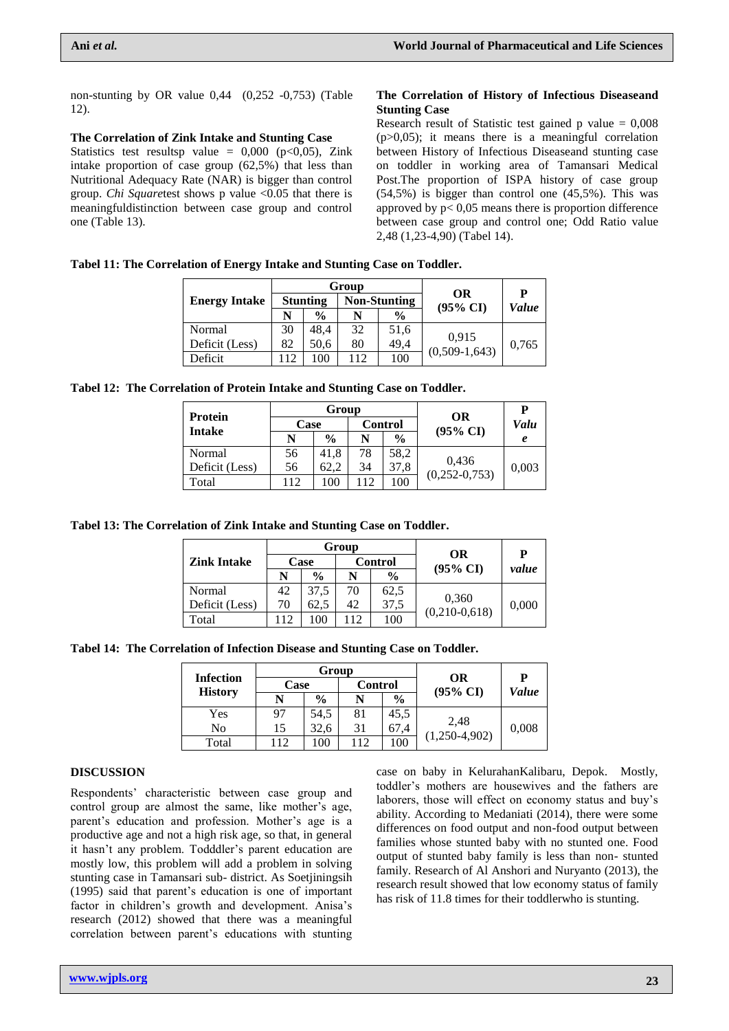non-stunting by OR value 0,44 (0,252 -0,753) (Table 12).

#### **The Correlation of Zink Intake and Stunting Case**

Statistics test resultsp value =  $0,000$  (p<0,05), Zink intake proportion of case group (62,5%) that less than Nutritional Adequacy Rate (NAR) is bigger than control group. *Chi Square*test shows p value <0.05 that there is meaningfuldistinction between case group and control one (Table 13).

#### **The Correlation of History of Infectious Diseaseand Stunting Case**

Research result of Statistic test gained p value  $= 0.008$  $(p>0,05)$ ; it means there is a meaningful correlation between History of Infectious Diseaseand stunting case on toddler in working area of Tamansari Medical Post.The proportion of ISPA history of case group  $(54,5%)$  is bigger than control one  $(45,5%)$ . This was approved by  $p < 0.05$  means there is proportion difference between case group and control one; Odd Ratio value 2,48 (1,23-4,90) (Tabel 14).

**Tabel 11: The Correlation of Energy Intake and Stunting Case on Toddler.**

|                      |                 |               | Group               |               |                          | P     |
|----------------------|-----------------|---------------|---------------------|---------------|--------------------------|-------|
| <b>Energy Intake</b> | <b>Stunting</b> |               | <b>Non-Stunting</b> |               | OR                       | Value |
|                      | N               | $\frac{0}{0}$ | N                   | $\frac{0}{0}$ | $(95\% \text{ CI})$      |       |
| Normal               | 30              | 48,4          | 32                  | 51,6          |                          |       |
| Deficit (Less)       | 82              | 50.6          | 80                  | 49,4          | 0,915<br>$(0,509-1,643)$ | 0,765 |
| Deficit              | 112             | 100           | 112                 | 100           |                          |       |

**Tabel 12: The Correlation of Protein Intake and Stunting Case on Toddler.**

|                          |      | Group         |                |               |                                  | P     |
|--------------------------|------|---------------|----------------|---------------|----------------------------------|-------|
| Protein<br><b>Intake</b> | Case |               | <b>Control</b> |               | <b>OR</b><br>$(95\% \text{ CI})$ | Valu  |
|                          | N    | $\frac{0}{0}$ | N              | $\frac{0}{0}$ |                                  | e     |
| Normal                   | 56   | 41.8          | 78             | 58,2          |                                  |       |
| Deficit (Less)           | 56   | 62.2          | 34             | 37,8          | 0,436<br>$(0, 252 - 0, 753)$     | 0,003 |
| Total                    | 112  | 100           | 12             | 100           |                                  |       |

**Tabel 13: The Correlation of Zink Intake and Stunting Case on Toddler.**

| <b>Zink Intake</b> |      |               | Group          |               | P                        |       |
|--------------------|------|---------------|----------------|---------------|--------------------------|-------|
|                    | Case |               | <b>Control</b> |               | OR                       | value |
|                    |      | $\frac{0}{0}$ |                | $\frac{6}{9}$ | $(95\% \text{ CI})$      |       |
| Normal             | 42   | 37,5          | 70             | 62,5          | 0,360<br>$(0,210-0,618)$ | 0,000 |
| Deficit (Less)     | 70   | 62.5          | 42             | 37,5          |                          |       |
| Total              | 112  | 100           | 12             | 100           |                          |       |

**Tabel 14: The Correlation of Infection Disease and Stunting Case on Toddler.**

| <b>Infection</b><br><b>History</b> |      | Group         |                |               |                           |            |
|------------------------------------|------|---------------|----------------|---------------|---------------------------|------------|
|                                    | Case |               | <b>Control</b> |               | OR<br>$(95\% \text{ CI})$ | P<br>Value |
|                                    | N    | $\frac{0}{0}$ | N              | $\frac{0}{0}$ |                           |            |
| Yes                                | 97   | 54,5          | 81             | 45,5          | 2,48<br>$(1,250-4,902)$   | 0,008      |
| No                                 | 15   | 32,6          | 31             | 67,4          |                           |            |
| Total                              | 112  | 100           | 112            | 100           |                           |            |

#### **DISCUSSION**

Respondents' characteristic between case group and control group are almost the same, like mother's age, parent's education and profession. Mother's age is a productive age and not a high risk age, so that, in general it hasn't any problem. Todddler's parent education are mostly low, this problem will add a problem in solving stunting case in Tamansari sub- district. As Soetjiningsih (1995) said that parent's education is one of important factor in children's growth and development. Anisa's research (2012) showed that there was a meaningful correlation between parent's educations with stunting

case on baby in KelurahanKalibaru, Depok. Mostly, toddler's mothers are housewives and the fathers are laborers, those will effect on economy status and buy's ability. According to Medaniati (2014), there were some differences on food output and non-food output between families whose stunted baby with no stunted one. Food output of stunted baby family is less than non- stunted family. Research of Al Anshori and Nuryanto (2013), the research result showed that low economy status of family has risk of 11.8 times for their toddlerwho is stunting.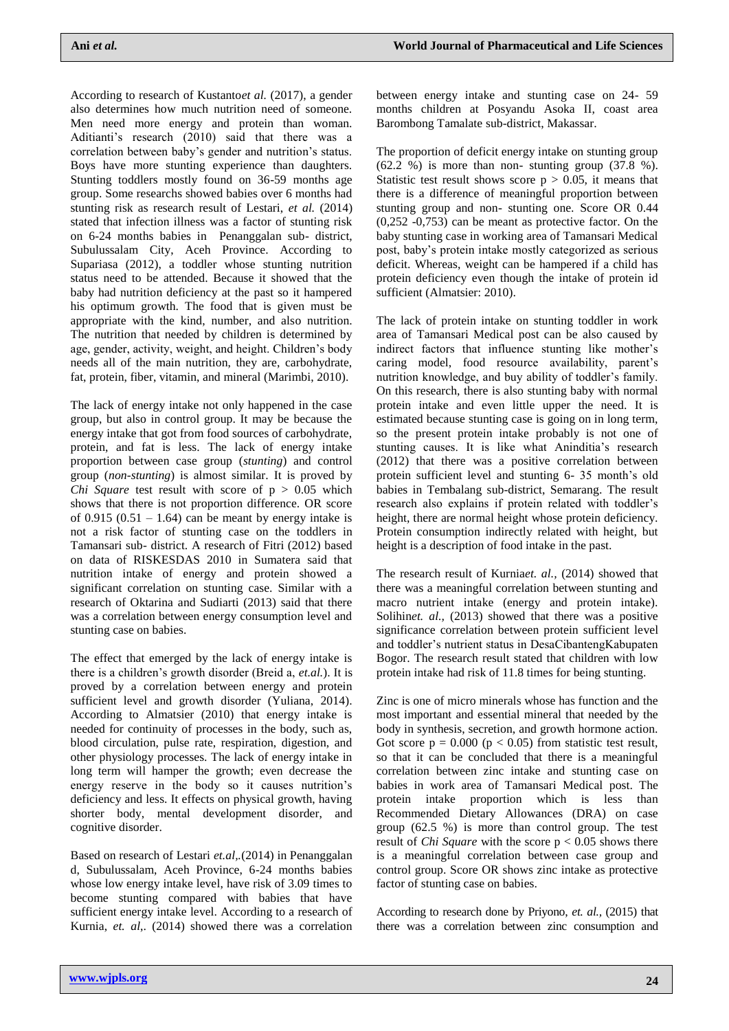According to research of Kustanto*et al.* (2017), a gender also determines how much nutrition need of someone. Men need more energy and protein than woman. Aditianti's research (2010) said that there was a correlation between baby's gender and nutrition's status. Boys have more stunting experience than daughters. Stunting toddlers mostly found on 36-59 months age group. Some researchs showed babies over 6 months had stunting risk as research result of Lestari, *et al.* (2014) stated that infection illness was a factor of stunting risk on 6-24 months babies in Penanggalan sub- district, Subulussalam City, Aceh Province. According to Supariasa (2012), a toddler whose stunting nutrition status need to be attended. Because it showed that the baby had nutrition deficiency at the past so it hampered his optimum growth. The food that is given must be appropriate with the kind, number, and also nutrition. The nutrition that needed by children is determined by age, gender, activity, weight, and height. Children's body needs all of the main nutrition, they are, carbohydrate, fat, protein, fiber, vitamin, and mineral (Marimbi, 2010).

The lack of energy intake not only happened in the case group, but also in control group. It may be because the energy intake that got from food sources of carbohydrate, protein, and fat is less. The lack of energy intake proportion between case group (*stunting*) and control group (*non-stunting*) is almost similar. It is proved by *Chi Square test result with score of*  $p > 0.05$  which shows that there is not proportion difference. OR score of 0.915  $(0.51 - 1.64)$  can be meant by energy intake is not a risk factor of stunting case on the toddlers in Tamansari sub- district. A research of Fitri (2012) based on data of RISKESDAS 2010 in Sumatera said that nutrition intake of energy and protein showed a significant correlation on stunting case. Similar with a research of Oktarina and Sudiarti (2013) said that there was a correlation between energy consumption level and stunting case on babies.

The effect that emerged by the lack of energy intake is there is a children's growth disorder (Breid a, *et.al.*). It is proved by a correlation between energy and protein sufficient level and growth disorder (Yuliana, 2014). According to Almatsier (2010) that energy intake is needed for continuity of processes in the body, such as, blood circulation, pulse rate, respiration, digestion, and other physiology processes. The lack of energy intake in long term will hamper the growth; even decrease the energy reserve in the body so it causes nutrition's deficiency and less. It effects on physical growth, having shorter body, mental development disorder, and cognitive disorder.

Based on research of Lestari *et.al,.*(2014) in Penanggalan d, Subulussalam, Aceh Province, 6-24 months babies whose low energy intake level, have risk of 3.09 times to become stunting compared with babies that have sufficient energy intake level. According to a research of Kurnia, *et. al*,. (2014) showed there was a correlation between energy intake and stunting case on 24- 59 months children at Posyandu Asoka II, coast area Barombong Tamalate sub-district, Makassar.

The proportion of deficit energy intake on stunting group  $(62.2 \%)$  is more than non-stunting group  $(37.8 \%)$ . Statistic test result shows score  $p > 0.05$ , it means that there is a difference of meaningful proportion between stunting group and non- stunting one. Score OR 0.44 (0,252 -0,753) can be meant as protective factor. On the baby stunting case in working area of Tamansari Medical post, baby's protein intake mostly categorized as serious deficit. Whereas, weight can be hampered if a child has protein deficiency even though the intake of protein id sufficient (Almatsier: 2010).

The lack of protein intake on stunting toddler in work area of Tamansari Medical post can be also caused by indirect factors that influence stunting like mother's caring model, food resource availability, parent's nutrition knowledge, and buy ability of toddler's family. On this research, there is also stunting baby with normal protein intake and even little upper the need. It is estimated because stunting case is going on in long term, so the present protein intake probably is not one of stunting causes. It is like what Aninditia's research (2012) that there was a positive correlation between protein sufficient level and stunting 6- 35 month's old babies in Tembalang sub-district, Semarang. The result research also explains if protein related with toddler's height, there are normal height whose protein deficiency. Protein consumption indirectly related with height, but height is a description of food intake in the past.

The research result of Kurnia*et. al.,* (2014) showed that there was a meaningful correlation between stunting and macro nutrient intake (energy and protein intake). Solihinet. al., (2013) showed that there was a positive significance correlation between protein sufficient level and toddler's nutrient status in DesaCibantengKabupaten Bogor. The research result stated that children with low protein intake had risk of 11.8 times for being stunting.

Zinc is one of micro minerals whose has function and the most important and essential mineral that needed by the body in synthesis, secretion, and growth hormone action. Got score  $p = 0.000$  ( $p < 0.05$ ) from statistic test result, so that it can be concluded that there is a meaningful correlation between zinc intake and stunting case on babies in work area of Tamansari Medical post. The protein intake proportion which is less than Recommended Dietary Allowances (DRA) on case group (62.5 %) is more than control group. The test result of *Chi Square* with the score  $p < 0.05$  shows there is a meaningful correlation between case group and control group. Score OR shows zinc intake as protective factor of stunting case on babies.

According to research done by Priyono, *et. al.,* (2015) that there was a correlation between zinc consumption and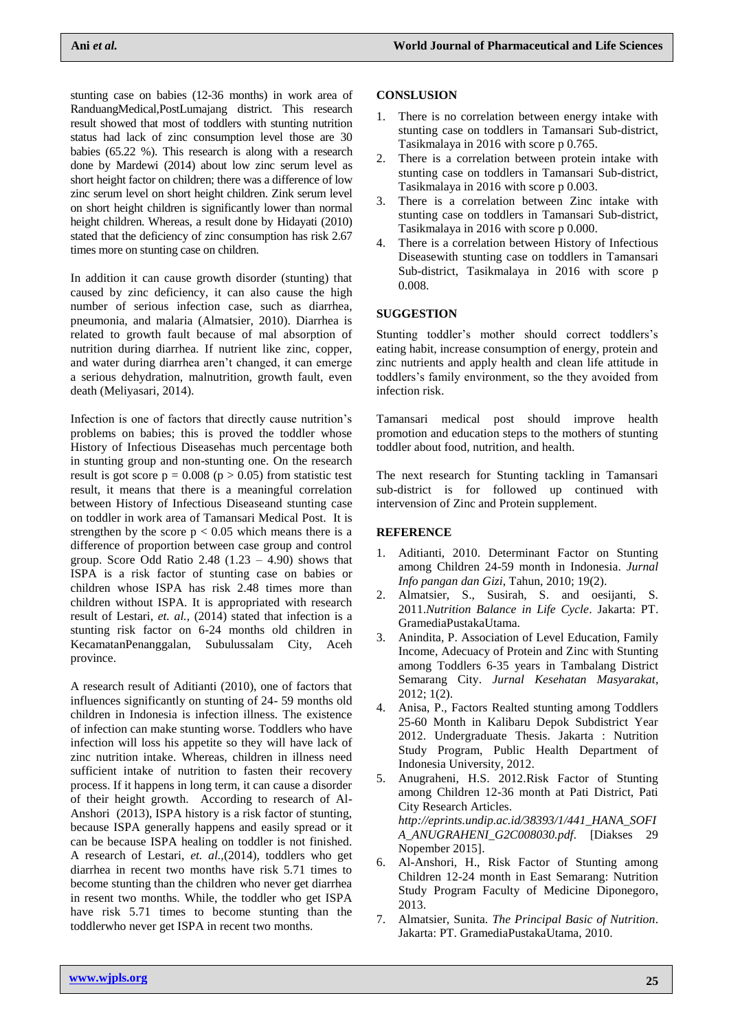stunting case on babies (12-36 months) in work area of RanduangMedical,PostLumajang district. This research result showed that most of toddlers with stunting nutrition status had lack of zinc consumption level those are 30 babies (65.22 %). This research is along with a research done by Mardewi (2014) about low zinc serum level as short height factor on children; there was a difference of low zinc serum level on short height children. Zink serum level on short height children is significantly lower than normal height children. Whereas, a result done by Hidayati (2010) stated that the deficiency of zinc consumption has risk 2.67 times more on stunting case on children.

In addition it can cause growth disorder (stunting) that caused by zinc deficiency, it can also cause the high number of serious infection case, such as diarrhea, pneumonia, and malaria (Almatsier, 2010). Diarrhea is related to growth fault because of mal absorption of nutrition during diarrhea. If nutrient like zinc, copper, and water during diarrhea aren't changed, it can emerge a serious dehydration, malnutrition, growth fault, even death (Meliyasari, 2014).

Infection is one of factors that directly cause nutrition's problems on babies; this is proved the toddler whose History of Infectious Diseasehas much percentage both in stunting group and non-stunting one. On the research result is got score  $p = 0.008$  ( $p > 0.05$ ) from statistic test result, it means that there is a meaningful correlation between History of Infectious Diseaseand stunting case on toddler in work area of Tamansari Medical Post. It is strengthen by the score  $p < 0.05$  which means there is a difference of proportion between case group and control group. Score Odd Ratio  $2.48$  (1.23 – 4.90) shows that ISPA is a risk factor of stunting case on babies or children whose ISPA has risk 2.48 times more than children without ISPA. It is appropriated with research result of Lestari, *et. al.,* (2014) stated that infection is a stunting risk factor on 6-24 months old children in KecamatanPenanggalan, Subulussalam City, Aceh province.

A research result of Aditianti (2010), one of factors that influences significantly on stunting of 24- 59 months old children in Indonesia is infection illness. The existence of infection can make stunting worse. Toddlers who have infection will loss his appetite so they will have lack of zinc nutrition intake. Whereas, children in illness need sufficient intake of nutrition to fasten their recovery process. If it happens in long term, it can cause a disorder of their height growth. According to research of Al-Anshori (2013), ISPA history is a risk factor of stunting, because ISPA generally happens and easily spread or it can be because ISPA healing on toddler is not finished. A research of Lestari, *et. al.,*(2014), toddlers who get diarrhea in recent two months have risk 5.71 times to become stunting than the children who never get diarrhea in resent two months. While, the toddler who get ISPA have risk 5.71 times to become stunting than the toddlerwho never get ISPA in recent two months.

## **CONSLUSION**

- There is no correlation between energy intake with stunting case on toddlers in Tamansari Sub-district, Tasikmalaya in 2016 with score p 0.765.
- 2. There is a correlation between protein intake with stunting case on toddlers in Tamansari Sub-district, Tasikmalaya in 2016 with score p 0.003.
- 3. There is a correlation between Zinc intake with stunting case on toddlers in Tamansari Sub-district, Tasikmalaya in 2016 with score p 0.000.
- 4. There is a correlation between History of Infectious Diseasewith stunting case on toddlers in Tamansari Sub-district, Tasikmalaya in 2016 with score p 0.008.

## **SUGGESTION**

Stunting toddler's mother should correct toddlers's eating habit, increase consumption of energy, protein and zinc nutrients and apply health and clean life attitude in toddlers's family environment, so the they avoided from infection risk.

Tamansari medical post should improve health promotion and education steps to the mothers of stunting toddler about food, nutrition, and health.

The next research for Stunting tackling in Tamansari sub-district is for followed up continued with intervension of Zinc and Protein supplement.

## **REFERENCE**

- 1. Aditianti, 2010. Determinant Factor on Stunting among Children 24-59 month in Indonesia. *Jurnal Info pangan dan Gizi*, Tahun, 2010; 19(2).
- 2. Almatsier, S., Susirah, S. and oesijanti, S. 2011.*Nutrition Balance in Life Cycle*. Jakarta: PT. GramediaPustakaUtama.
- 3. Anindita, P. Association of Level Education, Family Income, Adecuacy of Protein and Zinc with Stunting among Toddlers 6-35 years in Tambalang District Semarang City. *Jurnal Kesehatan Masyarakat*, 2012; 1(2).
- 4. Anisa, P., Factors Realted stunting among Toddlers 25-60 Month in Kalibaru Depok Subdistrict Year 2012. Undergraduate Thesis. Jakarta : Nutrition Study Program, Public Health Department of Indonesia University, 2012.
- 5. Anugraheni, H.S. 2012.Risk Factor of Stunting among Children 12-36 month at Pati District, Pati City Research Articles. *[http://eprints.undip.ac.id/38393/1/441\\_HANA\\_SOFI](http://eprints.undip.ac.id/38393/1/441_HANA_SOFIA_ANUGRAHENI_G2C008030.pdf) [A\\_ANUGRAHENI\\_G2C008030.pdf.](http://eprints.undip.ac.id/38393/1/441_HANA_SOFIA_ANUGRAHENI_G2C008030.pdf)* [Diakses 29 Nopember 2015].
- 6. Al-Anshori, H., Risk Factor of Stunting among Children 12-24 month in East Semarang: Nutrition Study Program Faculty of Medicine Diponegoro, 2013.
- 7. Almatsier, Sunita. *The Principal Basic of Nutrition*. Jakarta: PT. GramediaPustakaUtama, 2010.